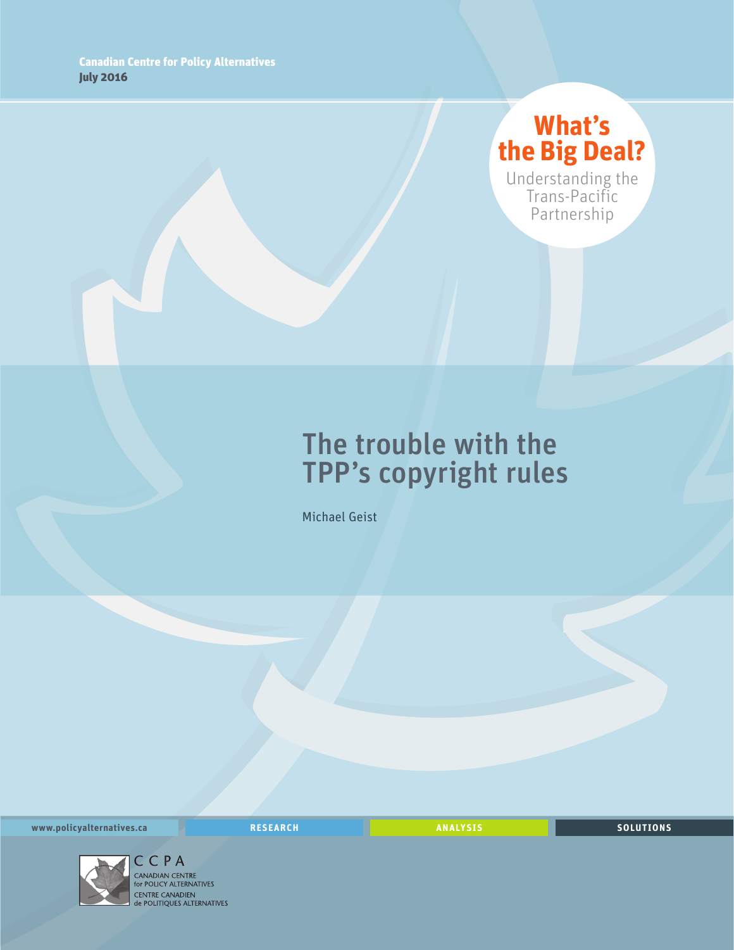# **What's the Big Deal?**

Understanding the Trans-Pacific Partnership

# The trouble with the TPP's copyright rules

Michael Geist

**www.policyalternatives.ca RESEARCH ANALYSIS SOLUTIONS**



C C P A<br>CANADIAN CENTRE for POLICY ALTERNATIVES CENTRE CANADIEN<br> **CENTRE CANADIEN<br>
de POLITIQUES ALTERNATIVES**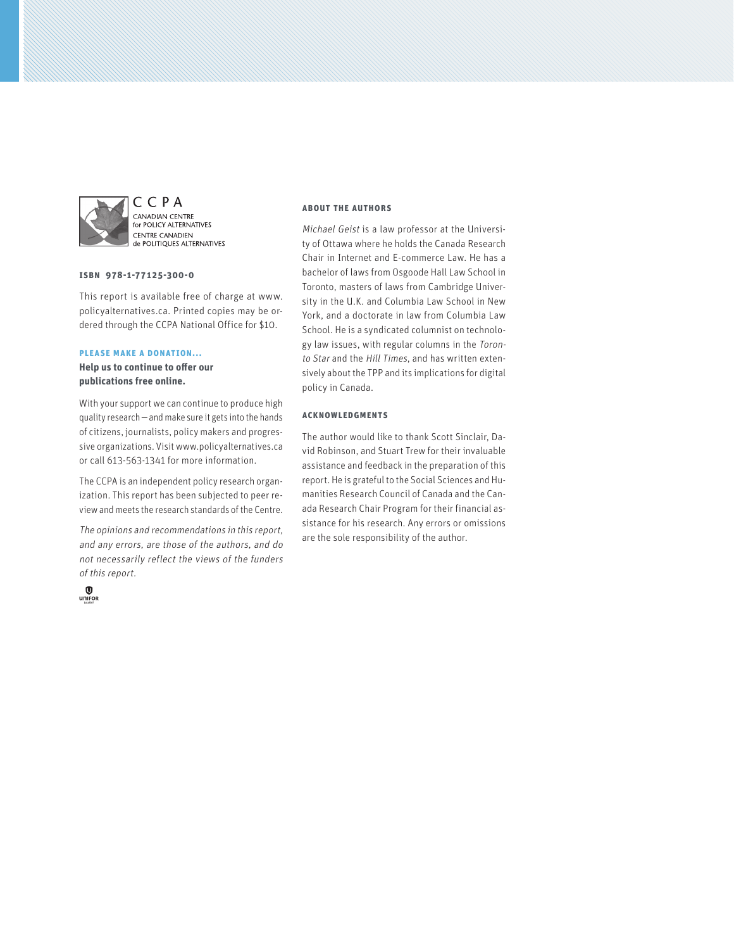

C C P A CANADIAN CENTRE **EXEMPLIER CERVINE**<br>for POLICY ALTERNATIVES **CENTRE CANADIEN** de POLITIQUES ALTERNATIVES

#### **ISBN 978-1-77125-300-0**

This report is available free of charge at www. policyalternatives.ca. Printed copies may be ordered through the CCPA National Office for \$10.

#### **Please make a donation...**

**Help us to continue to offer our publications free online.**

With your support we can continue to produce high quality research—and make sure it gets into the hands of citizens, journalists, policy makers and progressive organizations. Visit www.policyalternatives.ca or call 613-563-1341 for more information.

The CCPA is an independent policy research organization. This report has been subjected to peer review and meets the research standards of the Centre.

The opinions and recommendations in this report, and any errors, are those of the authors, and do not necessarily reflect the views of the funders of this report.



#### **About the authors**

Michael Geist is a law professor at the University of Ottawa where he holds the Canada Research Chair in Internet and E-commerce Law. He has a bachelor of laws from Osgoode Hall Law School in Toronto, masters of laws from Cambridge University in the U.K. and Columbia Law School in New York, and a doctorate in law from Columbia Law School. He is a syndicated columnist on technology law issues, with regular columns in the Toronto Star and the Hill Times, and has written extensively about the TPP and its implications for digital policy in Canada.

#### **Acknowledgments**

The author would like to thank Scott Sinclair, David Robinson, and Stuart Trew for their invaluable assistance and feedback in the preparation of this report. He is grateful to the Social Sciences and Humanities Research Council of Canada and the Canada Research Chair Program for their financial assistance for his research. Any errors or omissions are the sole responsibility of the author.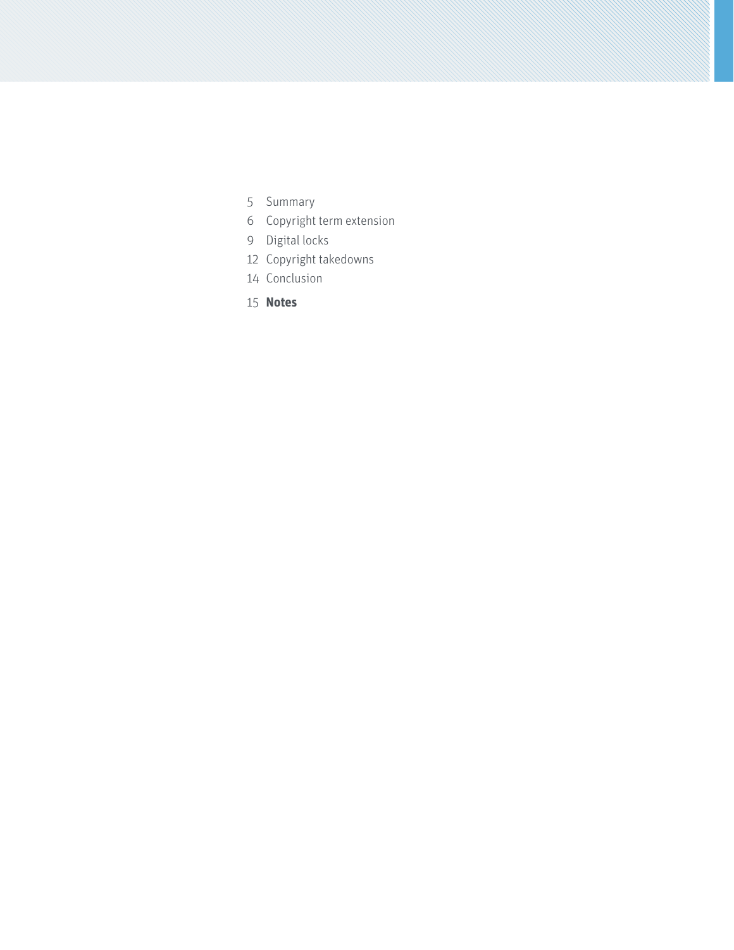- [Summary](#page-4-0)
- [Copyright term extension](#page-5-0)
- [Digital locks](#page-8-0)
- [Copyright takedowns](#page-11-0)
- [Conclusion](#page-13-0)
- **[Notes](#page-14-0)**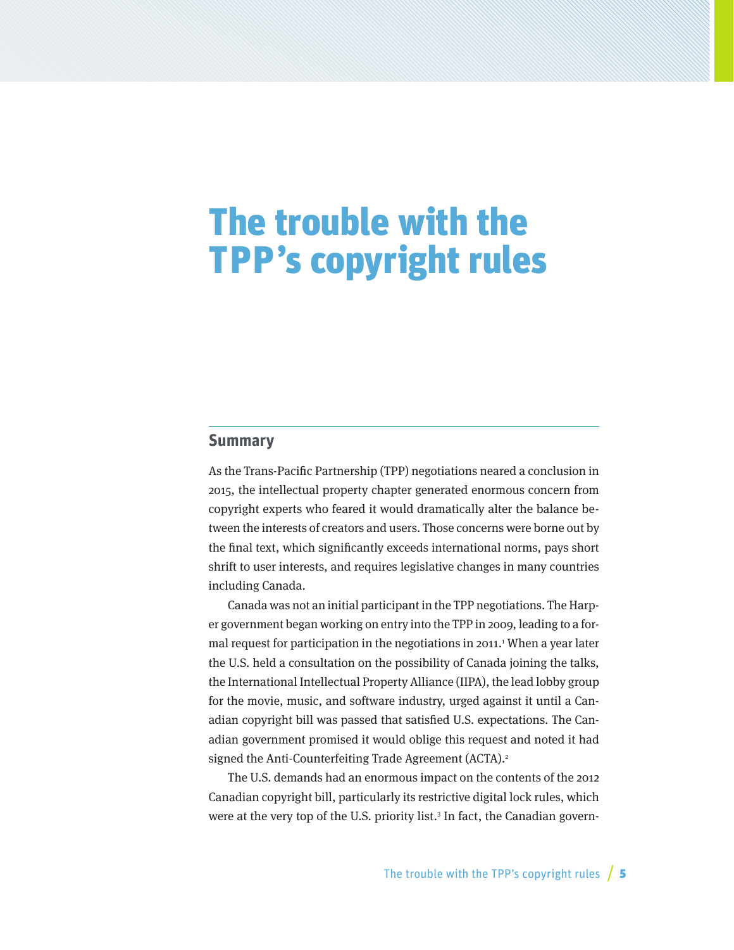# <span id="page-4-0"></span>The trouble with the TPP's copyright rules

### **Summary**

As the Trans-Pacific Partnership (TPP) negotiations neared a conclusion in 2015, the intellectual property chapter generated enormous concern from copyright experts who feared it would dramatically alter the balance between the interests of creators and users. Those concerns were borne out by the final text, which significantly exceeds international norms, pays short shrift to user interests, and requires legislative changes in many countries including Canada.

Canada was not an initial participant in the TPP negotiations. The Harper government began working on entry into the TPP in 2009, leading to a formal request for participation in the negotiations in 2011.<sup>1</sup> When a year later the U.S. held a consultation on the possibility of Canada joining the talks, the International Intellectual Property Alliance (IIPA), the lead lobby group for the movie, music, and software industry, urged against it until a Canadian copyright bill was passed that satisfied U.S. expectations. The Canadian government promised it would oblige this request and noted it had signed the Anti-Counterfeiting Trade Agreement (ACTA).<sup>2</sup>

The U.S. demands had an enormous impact on the contents of the 2012 Canadian copyright bill, particularly its restrictive digital lock rules, which were at the very top of the U.S. priority list.<sup>3</sup> In fact, the Canadian govern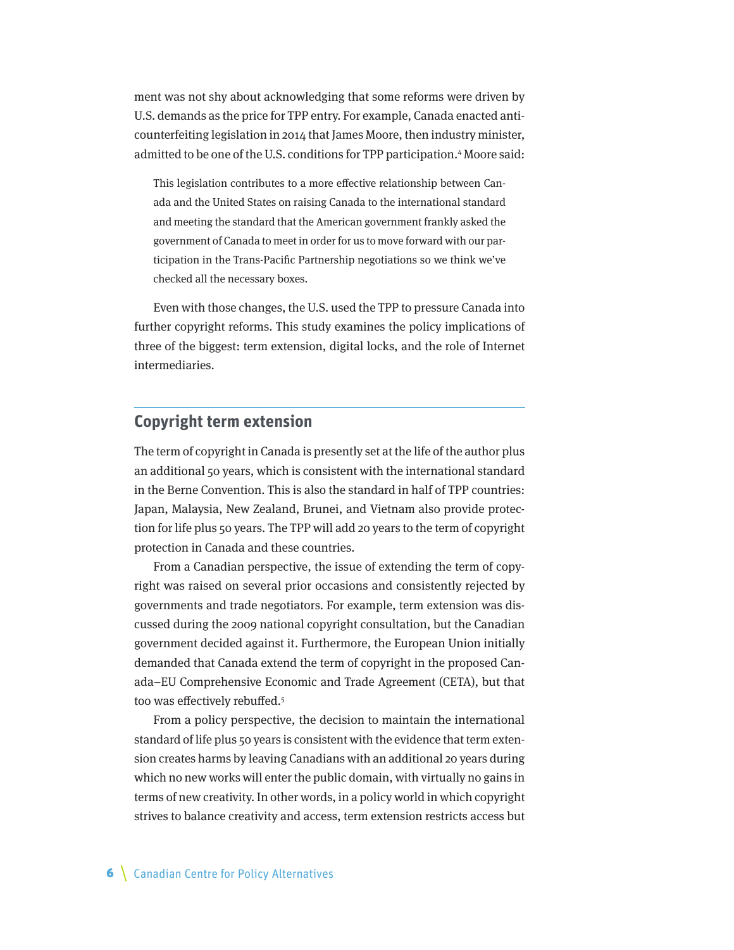<span id="page-5-0"></span>ment was not shy about acknowledging that some reforms were driven by U.S. demands as the price for TPP entry. For example, Canada enacted anticounterfeiting legislation in 2014 that James Moore, then industry minister, admitted to be one of the U.S. conditions for TPP participation.<sup>4</sup> Moore said:

This legislation contributes to a more effective relationship between Canada and the United States on raising Canada to the international standard and meeting the standard that the American government frankly asked the government of Canada to meet in order for us to move forward with our participation in the Trans-Pacific Partnership negotiations so we think we've checked all the necessary boxes.

Even with those changes, the U.S. used the TPP to pressure Canada into further copyright reforms. This study examines the policy implications of three of the biggest: term extension, digital locks, and the role of Internet intermediaries.

## **Copyright term extension**

The term of copyright in Canada is presently set at the life of the author plus an additional 50 years, which is consistent with the international standard in the Berne Convention. This is also the standard in half of TPP countries: Japan, Malaysia, New Zealand, Brunei, and Vietnam also provide protection for life plus 50 years. The TPP will add 20 years to the term of copyright protection in Canada and these countries.

From a Canadian perspective, the issue of extending the term of copyright was raised on several prior occasions and consistently rejected by governments and trade negotiators. For example, term extension was discussed during the 2009 national copyright consultation, but the Canadian government decided against it. Furthermore, the European Union initially demanded that Canada extend the term of copyright in the proposed Canada–EU Comprehensive Economic and Trade Agreement (CETA), but that too was effectively rebuffed.5

From a policy perspective, the decision to maintain the international standard of life plus 50 years is consistent with the evidence that term extension creates harms by leaving Canadians with an additional 20 years during which no new works will enter the public domain, with virtually no gains in terms of new creativity. In other words, in a policy world in which copyright strives to balance creativity and access, term extension restricts access but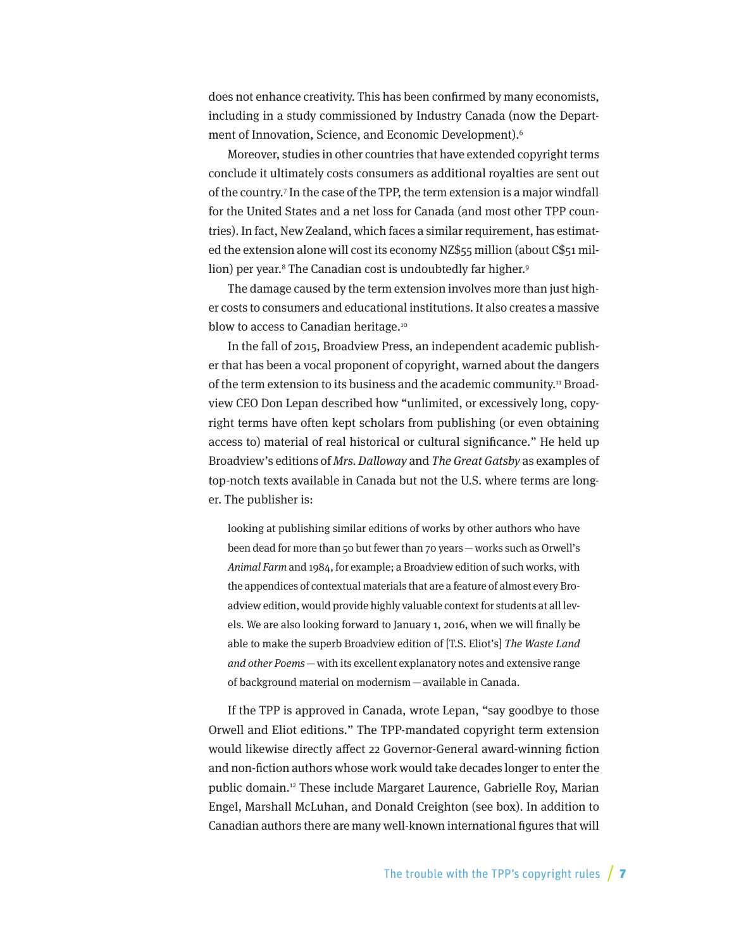does not enhance creativity. This has been confirmed by many economists, including in a study commissioned by Industry Canada (now the Department of Innovation, Science, and Economic Development).6

Moreover, studies in other countries that have extended copyright terms conclude it ultimately costs consumers as additional royalties are sent out of the country.7 In the case of the TPP, the term extension is a major windfall for the United States and a net loss for Canada (and most other TPP countries). In fact, New Zealand, which faces a similar requirement, has estimated the extension alone will cost its economy NZ\$55 million (about C\$51 million) per year.8 The Canadian cost is undoubtedly far higher.9

The damage caused by the term extension involves more than just higher costs to consumers and educational institutions. It also creates a massive blow to access to Canadian heritage.<sup>10</sup>

In the fall of 2015, Broadview Press, an independent academic publisher that has been a vocal proponent of copyright, warned about the dangers of the term extension to its business and the academic community.11 Broadview CEO Don Lepan described how "unlimited, or excessively long, copyright terms have often kept scholars from publishing (or even obtaining access to) material of real historical or cultural significance." He held up Broadview's editions of Mrs. Dalloway and The Great Gatsby as examples of top-notch texts available in Canada but not the U.S. where terms are longer. The publisher is:

looking at publishing similar editions of works by other authors who have been dead for more than 50 but fewer than 70 years—works such as Orwell's Animal Farm and 1984, for example; a Broadview edition of such works, with the appendices of contextual materials that are a feature of almost every Broadview edition, would provide highly valuable context for students at all levels. We are also looking forward to January 1, 2016, when we will finally be able to make the superb Broadview edition of [T.S. Eliot's] The Waste Land and other Poems—with its excellent explanatory notes and extensive range of background material on modernism—available in Canada.

If the TPP is approved in Canada, wrote Lepan, "say goodbye to those Orwell and Eliot editions." The TPP-mandated copyright term extension would likewise directly affect 22 Governor-General award-winning fiction and non-fiction authors whose work would take decades longer to enter the public domain.12 These include Margaret Laurence, Gabrielle Roy, Marian Engel, Marshall McLuhan, and Donald Creighton (see box). In addition to Canadian authors there are many well-known international figures that will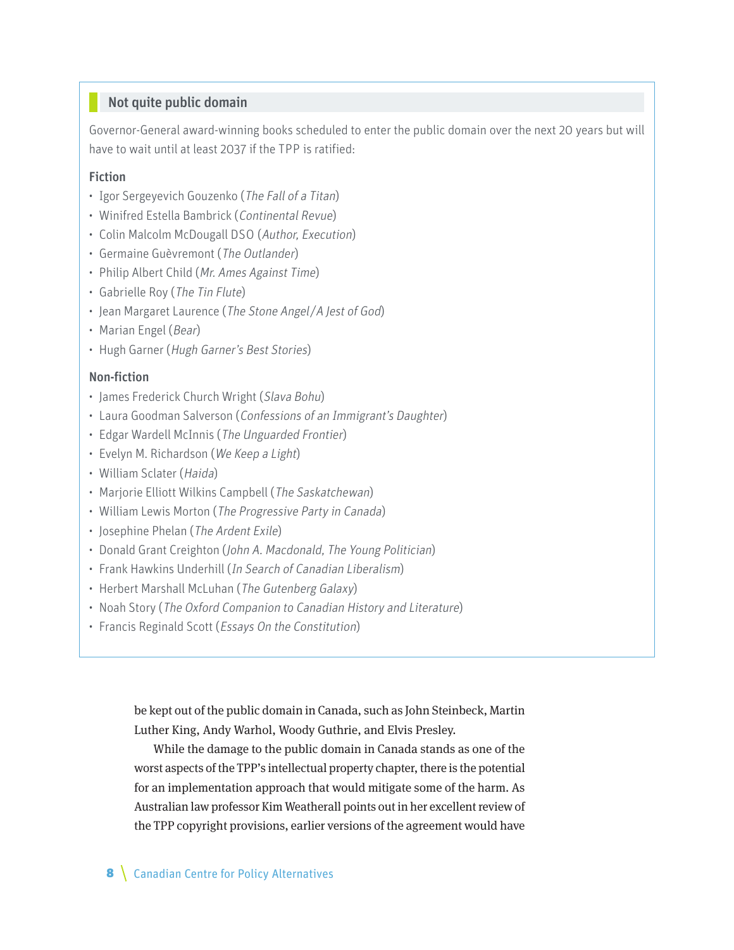## Not quite public domain

Governor-General award-winning books scheduled to enter the public domain over the next 20 years but will have to wait until at least 2037 if the TPP is ratified:

### Fiction

- Igor Sergeyevich Gouzenko (The Fall of a Titan)
- Winifred Estella Bambrick (Continental Revue)
- Colin Malcolm McDougall DSO (Author, Execution)
- Germaine Guèvremont (The Outlander)
- Philip Albert Child (Mr. Ames Against Time)
- Gabrielle Roy (The Tin Flute)
- Jean Margaret Laurence (The Stone Angel/A Jest of God)
- Marian Engel (Bear)
- Hugh Garner (Hugh Garner's Best Stories)

#### Non-fiction

- James Frederick Church Wright (Slava Bohu)
- Laura Goodman Salverson (Confessions of an Immigrant's Daughter)
- Edgar Wardell McInnis (The Unguarded Frontier)
- Evelyn M. Richardson (We Keep a Light)
- William Sclater (Haida)
- Marjorie Elliott Wilkins Campbell (The Saskatchewan)
- William Lewis Morton (The Progressive Party in Canada)
- Josephine Phelan (The Ardent Exile)
- Donald Grant Creighton (John A. Macdonald, The Young Politician)
- Frank Hawkins Underhill (In Search of Canadian Liberalism)
- Herbert Marshall McLuhan (The Gutenberg Galaxy)
- Noah Story (The Oxford Companion to Canadian History and Literature)
- Francis Reginald Scott (Essays On the Constitution)

be kept out of the public domain in Canada, such as John Steinbeck, Martin Luther King, Andy Warhol, Woody Guthrie, and Elvis Presley.

While the damage to the public domain in Canada stands as one of the worst aspects of the TPP's intellectual property chapter, there is the potential for an implementation approach that would mitigate some of the harm. As Australian law professor Kim Weatherall points out in her excellent review of the TPP copyright provisions, earlier versions of the agreement would have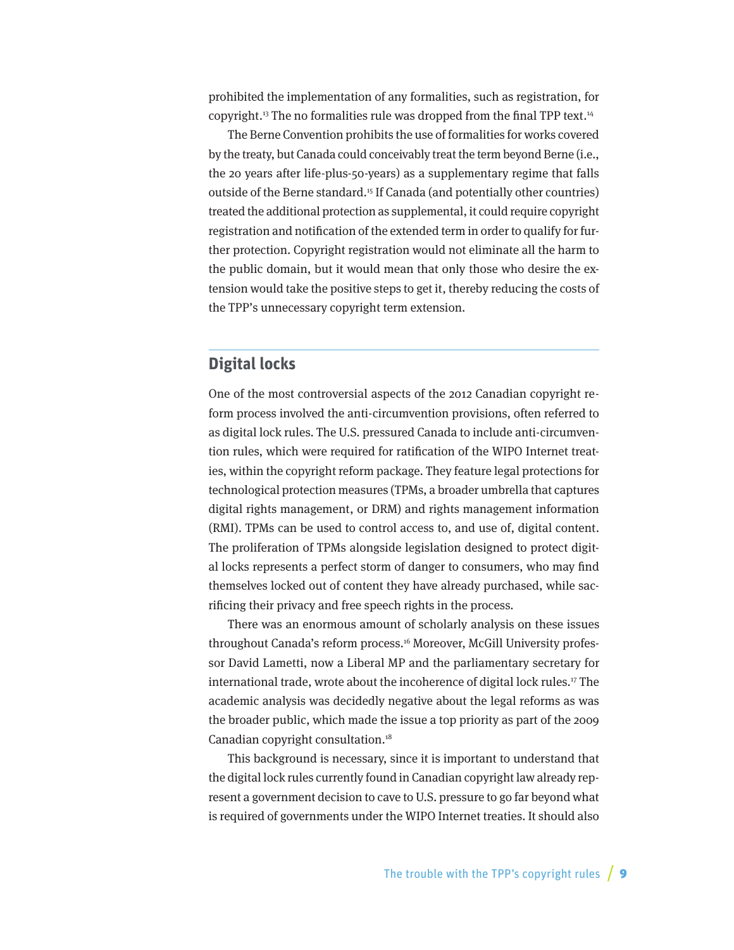<span id="page-8-0"></span>prohibited the implementation of any formalities, such as registration, for copyright.<sup>13</sup> The no formalities rule was dropped from the final TPP text.<sup>14</sup>

The Berne Convention prohibits the use of formalities for works covered by the treaty, but Canada could conceivably treat the term beyond Berne (i.e., the 20 years after life-plus-50-years) as a supplementary regime that falls outside of the Berne standard.15 If Canada (and potentially other countries) treated the additional protection as supplemental, it could require copyright registration and notification of the extended term in order to qualify for further protection. Copyright registration would not eliminate all the harm to the public domain, but it would mean that only those who desire the extension would take the positive steps to get it, thereby reducing the costs of the TPP's unnecessary copyright term extension.

# **Digital locks**

One of the most controversial aspects of the 2012 Canadian copyright reform process involved the anti-circumvention provisions, often referred to as digital lock rules. The U.S. pressured Canada to include anti-circumvention rules, which were required for ratification of the WIPO Internet treaties, within the copyright reform package. They feature legal protections for technological protection measures (TPMs, a broader umbrella that captures digital rights management, or DRM) and rights management information (RMI). TPMs can be used to control access to, and use of, digital content. The proliferation of TPMs alongside legislation designed to protect digital locks represents a perfect storm of danger to consumers, who may find themselves locked out of content they have already purchased, while sacrificing their privacy and free speech rights in the process.

There was an enormous amount of scholarly analysis on these issues throughout Canada's reform process.16 Moreover, McGill University professor David Lametti, now a Liberal MP and the parliamentary secretary for international trade, wrote about the incoherence of digital lock rules.17 The academic analysis was decidedly negative about the legal reforms as was the broader public, which made the issue a top priority as part of the 2009 Canadian copyright consultation.18

This background is necessary, since it is important to understand that the digital lock rules currently found in Canadian copyright law already represent a government decision to cave to U.S. pressure to go far beyond what is required of governments under the WIPO Internet treaties. It should also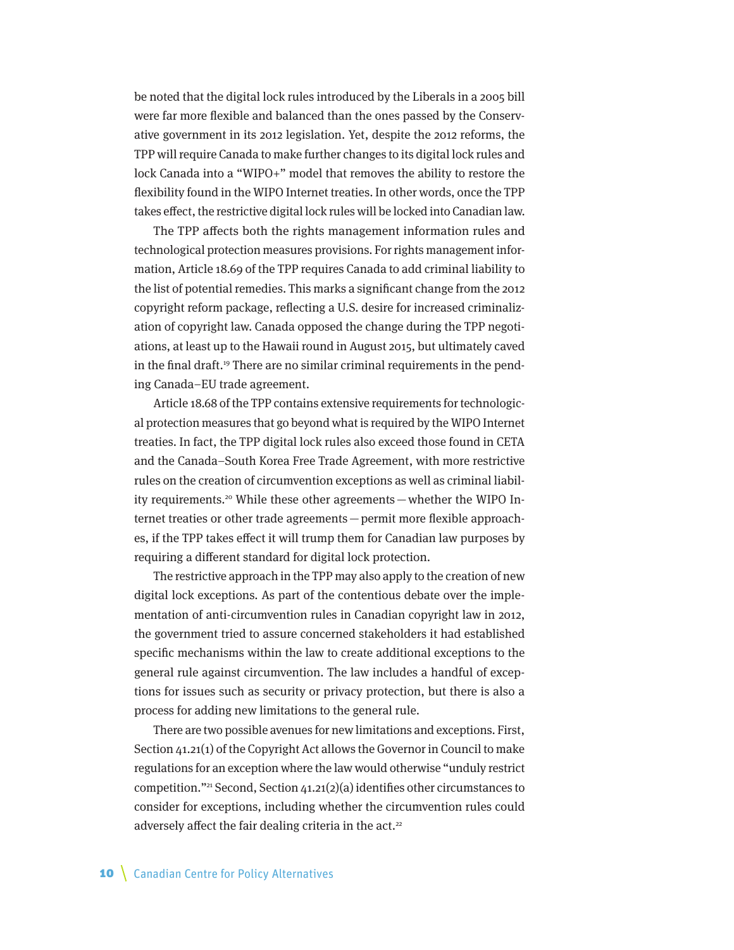be noted that the digital lock rules introduced by the Liberals in a 2005 bill were far more flexible and balanced than the ones passed by the Conservative government in its 2012 legislation. Yet, despite the 2012 reforms, the TPP will require Canada to make further changes to its digital lock rules and lock Canada into a "WIPO+" model that removes the ability to restore the flexibility found in the WIPO Internet treaties. In other words, once the TPP takes effect, the restrictive digital lock rules will be locked into Canadian law.

The TPP affects both the rights management information rules and technological protection measures provisions. For rights management information, Article 18.69 of the TPP requires Canada to add criminal liability to the list of potential remedies. This marks a significant change from the 2012 copyright reform package, reflecting a U.S. desire for increased criminalization of copyright law. Canada opposed the change during the TPP negotiations, at least up to the Hawaii round in August 2015, but ultimately caved in the final draft.<sup>19</sup> There are no similar criminal requirements in the pending Canada–EU trade agreement.

Article 18.68 of the TPP contains extensive requirements for technological protection measures that go beyond what is required by the WIPO Internet treaties. In fact, the TPP digital lock rules also exceed those found in CETA and the Canada–South Korea Free Trade Agreement, with more restrictive rules on the creation of circumvention exceptions as well as criminal liability requirements.<sup>20</sup> While these other agreements — whether the WIPO Internet treaties or other trade agreements—permit more flexible approaches, if the TPP takes effect it will trump them for Canadian law purposes by requiring a different standard for digital lock protection.

The restrictive approach in the TPP may also apply to the creation of new digital lock exceptions. As part of the contentious debate over the implementation of anti-circumvention rules in Canadian copyright law in 2012, the government tried to assure concerned stakeholders it had established specific mechanisms within the law to create additional exceptions to the general rule against circumvention. The law includes a handful of exceptions for issues such as security or privacy protection, but there is also a process for adding new limitations to the general rule.

There are two possible avenues for new limitations and exceptions. First, Section 41.21(1) of the Copyright Act allows the Governor in Council to make regulations for an exception where the law would otherwise "unduly restrict competition."21 Second, Section 41.21(2)(a) identifies other circumstances to consider for exceptions, including whether the circumvention rules could adversely affect the fair dealing criteria in the  $act.^2$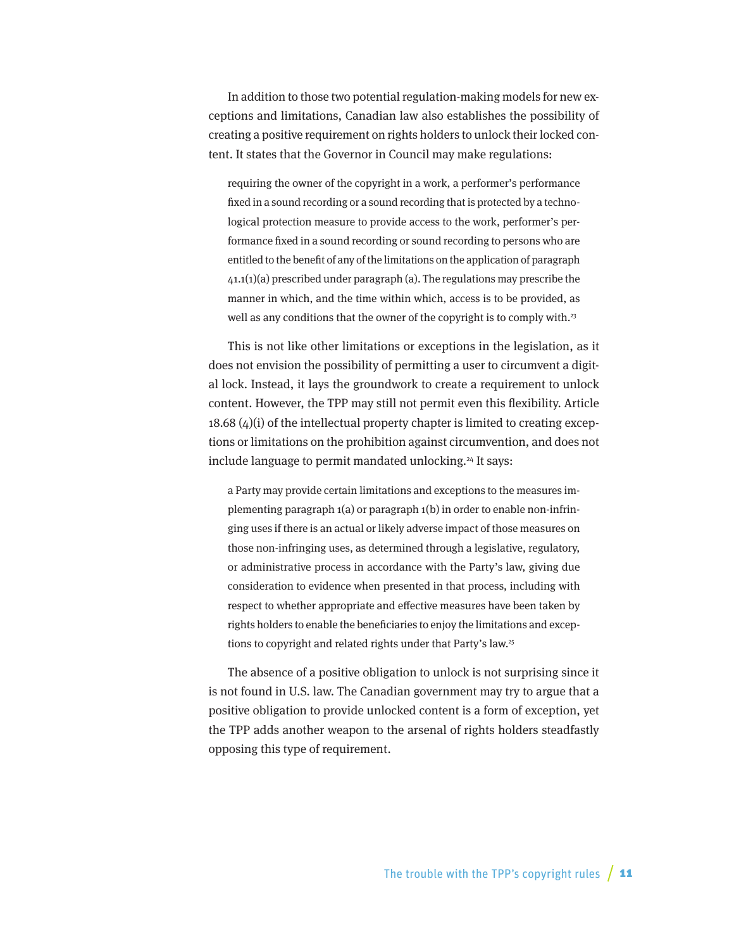In addition to those two potential regulation-making models for new exceptions and limitations, Canadian law also establishes the possibility of creating a positive requirement on rights holders to unlock their locked content. It states that the Governor in Council may make regulations:

requiring the owner of the copyright in a work, a performer's performance fixed in a sound recording or a sound recording that is protected by a technological protection measure to provide access to the work, performer's performance fixed in a sound recording or sound recording to persons who are entitled to the benefit of any of the limitations on the application of paragraph  $41.1(1)(a)$  prescribed under paragraph  $(a)$ . The regulations may prescribe the manner in which, and the time within which, access is to be provided, as well as any conditions that the owner of the copyright is to comply with.<sup>23</sup>

This is not like other limitations or exceptions in the legislation, as it does not envision the possibility of permitting a user to circumvent a digital lock. Instead, it lays the groundwork to create a requirement to unlock content. However, the TPP may still not permit even this flexibility. Article  $18.68 \, (4)(i)$  of the intellectual property chapter is limited to creating exceptions or limitations on the prohibition against circumvention, and does not include language to permit mandated unlocking.<sup>24</sup> It says:

a Party may provide certain limitations and exceptions to the measures implementing paragraph 1(a) or paragraph 1(b) in order to enable non-infringing uses if there is an actual or likely adverse impact of those measures on those non-infringing uses, as determined through a legislative, regulatory, or administrative process in accordance with the Party's law, giving due consideration to evidence when presented in that process, including with respect to whether appropriate and effective measures have been taken by rights holders to enable the beneficiaries to enjoy the limitations and exceptions to copyright and related rights under that Party's law.25

The absence of a positive obligation to unlock is not surprising since it is not found in U.S. law. The Canadian government may try to argue that a positive obligation to provide unlocked content is a form of exception, yet the TPP adds another weapon to the arsenal of rights holders steadfastly opposing this type of requirement.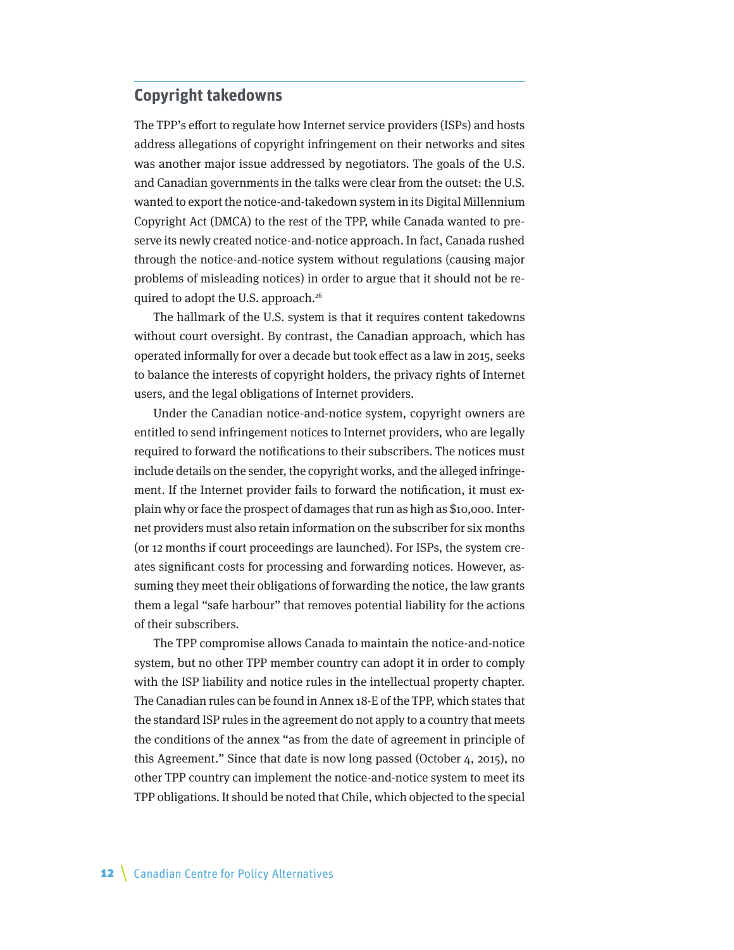## <span id="page-11-0"></span>**Copyright takedowns**

The TPP's effort to regulate how Internet service providers (ISPs) and hosts address allegations of copyright infringement on their networks and sites was another major issue addressed by negotiators. The goals of the U.S. and Canadian governments in the talks were clear from the outset: the U.S. wanted to export the notice-and-takedown system in its Digital Millennium Copyright Act (DMCA) to the rest of the TPP, while Canada wanted to preserve its newly created notice-and-notice approach. In fact, Canada rushed through the notice-and-notice system without regulations (causing major problems of misleading notices) in order to argue that it should not be required to adopt the U.S. approach.<sup>26</sup>

The hallmark of the U.S. system is that it requires content takedowns without court oversight. By contrast, the Canadian approach, which has operated informally for over a decade but took effect as a law in 2015, seeks to balance the interests of copyright holders, the privacy rights of Internet users, and the legal obligations of Internet providers.

Under the Canadian notice-and-notice system, copyright owners are entitled to send infringement notices to Internet providers, who are legally required to forward the notifications to their subscribers. The notices must include details on the sender, the copyright works, and the alleged infringement. If the Internet provider fails to forward the notification, it must explain why or face the prospect of damages that run as high as \$10,000. Internet providers must also retain information on the subscriber for six months (or 12 months if court proceedings are launched). For ISPs, the system creates significant costs for processing and forwarding notices. However, assuming they meet their obligations of forwarding the notice, the law grants them a legal "safe harbour" that removes potential liability for the actions of their subscribers.

The TPP compromise allows Canada to maintain the notice-and-notice system, but no other TPP member country can adopt it in order to comply with the ISP liability and notice rules in the intellectual property chapter. The Canadian rules can be found in Annex 18-E of the TPP, which states that the standard ISP rules in the agreement do not apply to a country that meets the conditions of the annex "as from the date of agreement in principle of this Agreement." Since that date is now long passed (October 4, 2015), no other TPP country can implement the notice-and-notice system to meet its TPP obligations. It should be noted that Chile, which objected to the special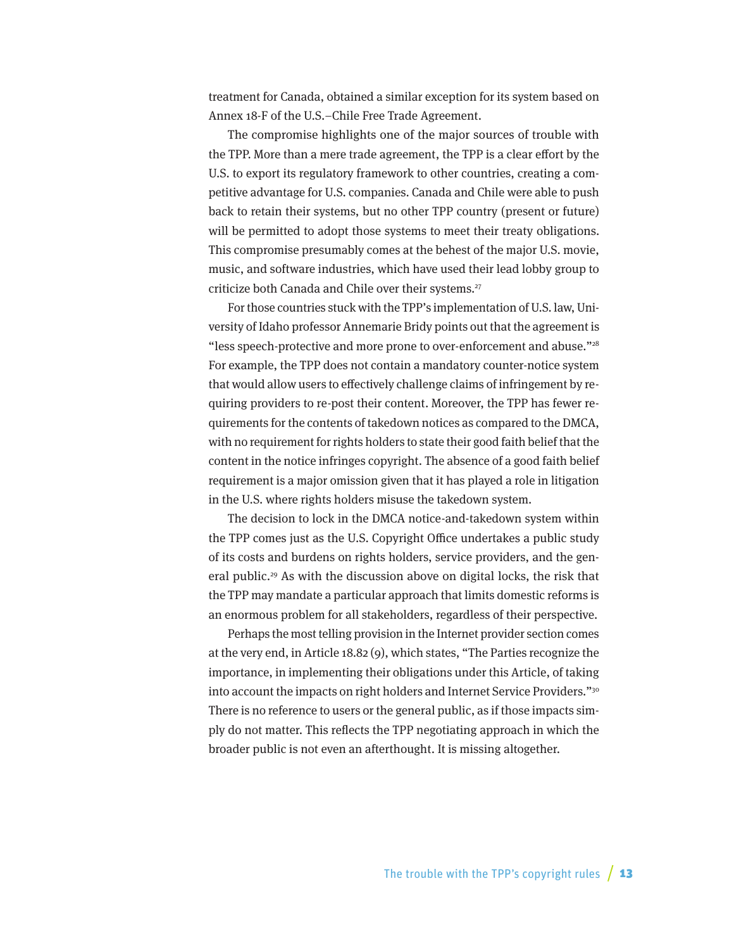treatment for Canada, obtained a similar exception for its system based on Annex 18-F of the U.S.–Chile Free Trade Agreement.

The compromise highlights one of the major sources of trouble with the TPP. More than a mere trade agreement, the TPP is a clear effort by the U.S. to export its regulatory framework to other countries, creating a competitive advantage for U.S. companies. Canada and Chile were able to push back to retain their systems, but no other TPP country (present or future) will be permitted to adopt those systems to meet their treaty obligations. This compromise presumably comes at the behest of the major U.S. movie, music, and software industries, which have used their lead lobby group to criticize both Canada and Chile over their systems.<sup>27</sup>

For those countries stuck with the TPP's implementation of U.S. law, University of Idaho professor Annemarie Bridy points out that the agreement is "less speech-protective and more prone to over-enforcement and abuse."28 For example, the TPP does not contain a mandatory counter-notice system that would allow users to effectively challenge claims of infringement by requiring providers to re-post their content. Moreover, the TPP has fewer requirements for the contents of takedown notices as compared to the DMCA, with no requirement for rights holders to state their good faith belief that the content in the notice infringes copyright. The absence of a good faith belief requirement is a major omission given that it has played a role in litigation in the U.S. where rights holders misuse the takedown system.

The decision to lock in the DMCA notice-and-takedown system within the TPP comes just as the U.S. Copyright Office undertakes a public study of its costs and burdens on rights holders, service providers, and the general public.<sup>29</sup> As with the discussion above on digital locks, the risk that the TPP may mandate a particular approach that limits domestic reforms is an enormous problem for all stakeholders, regardless of their perspective.

Perhaps the most telling provision in the Internet provider section comes at the very end, in Article 18.82 (9), which states, "The Parties recognize the importance, in implementing their obligations under this Article, of taking into account the impacts on right holders and Internet Service Providers."30 There is no reference to users or the general public, as if those impacts simply do not matter. This reflects the TPP negotiating approach in which the broader public is not even an afterthought. It is missing altogether.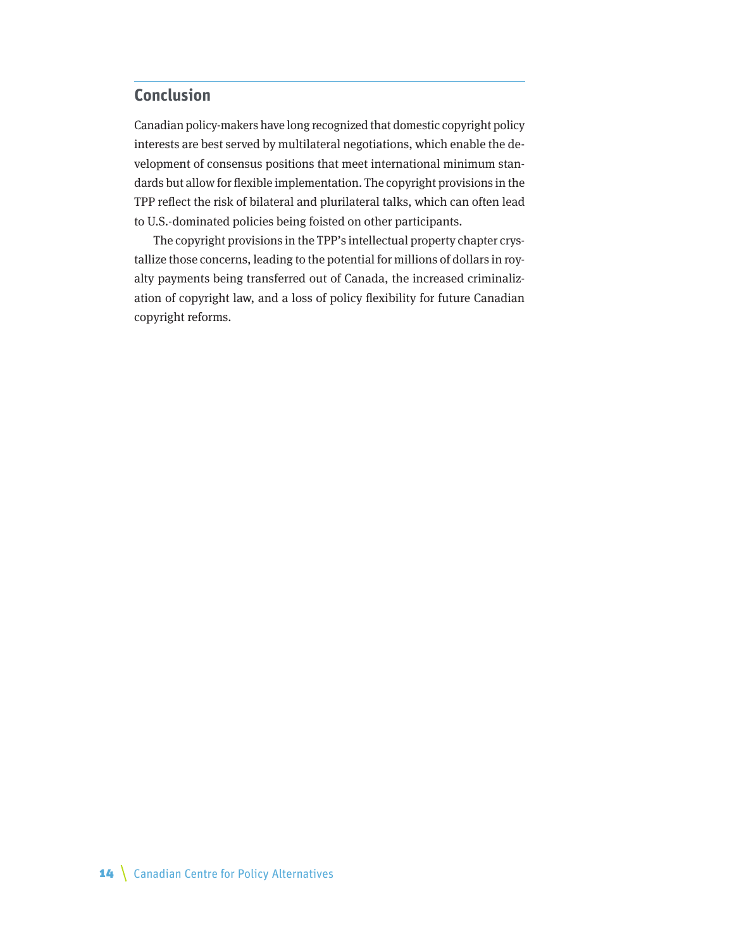# <span id="page-13-0"></span>**Conclusion**

Canadian policy-makers have long recognized that domestic copyright policy interests are best served by multilateral negotiations, which enable the development of consensus positions that meet international minimum standards but allow for flexible implementation. The copyright provisions in the TPP reflect the risk of bilateral and plurilateral talks, which can often lead to U.S.-dominated policies being foisted on other participants.

The copyright provisions in the TPP's intellectual property chapter crystallize those concerns, leading to the potential for millions of dollars in royalty payments being transferred out of Canada, the increased criminalization of copyright law, and a loss of policy flexibility for future Canadian copyright reforms.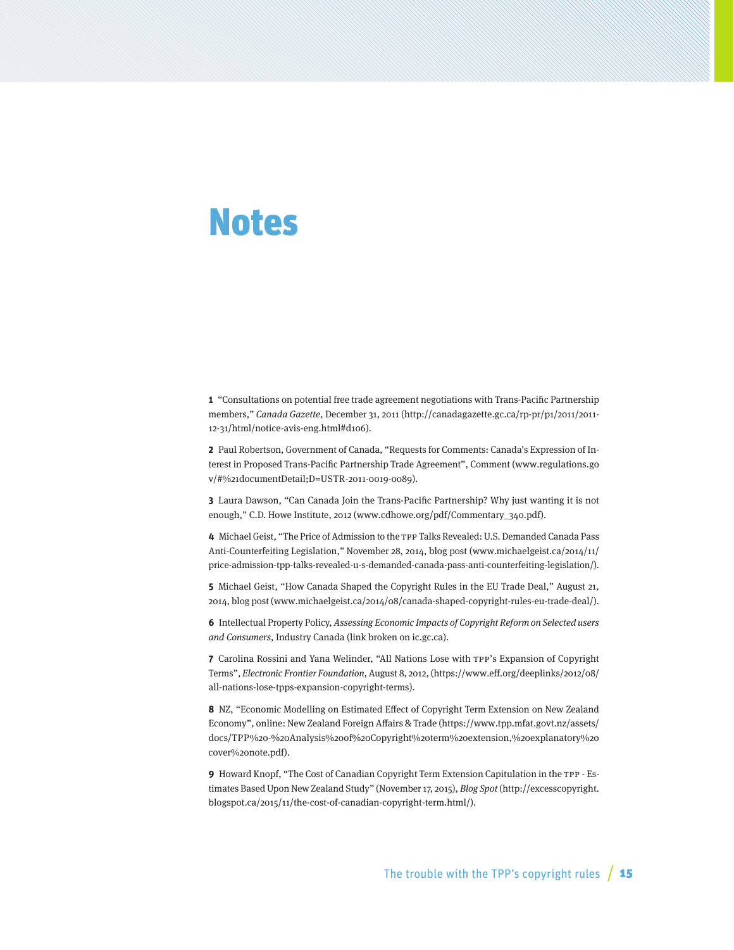# <span id="page-14-0"></span>Notes

**1** "Consultations on potential free trade agreement negotiations with Trans-Pacific Partnership members," Canada Gazette, December 31, 2011 (http://canadagazette.gc.ca/rp-pr/p1/2011/2011- 12-31/html/notice-avis-eng.html#d106).

**2** Paul Robertson, Government of Canada, "Requests for Comments: Canada's Expression of Interest in Proposed Trans-Pacific Partnership Trade Agreement", Comment (www.regulations.go v/#%21documentDetail;D=USTR-2011-0019-0089).

**3** Laura Dawson, "Can Canada Join the Trans-Pacific Partnership? Why just wanting it is not enough," C.D. Howe Institute, 2012 ([www.cdhowe.org/pdf/Commentary\\_340.pdf\)](http://www.cdhowe.org/pdf/Commentary_340.pdf).

**4** Michael Geist, "The Price of Admission to the TPP Talks Revealed: U.S. Demanded Canada Pass Anti-Counterfeiting Legislation," November 28, 2014, blog post [\(www.michaelgeist.ca/2014/11/](http://www.michaelgeist.ca/2014/11/price-admission-tpp-talks-revealed-u-s-demanded-canada-pass-anti-counterfeiting-legislation/) [price-admission-tpp-talks-revealed-u-s-demanded-canada-pass-anti-counterfeiting-legislation/](http://www.michaelgeist.ca/2014/11/price-admission-tpp-talks-revealed-u-s-demanded-canada-pass-anti-counterfeiting-legislation/)).

**5** Michael Geist, "How Canada Shaped the Copyright Rules in the EU Trade Deal," August 21, 2014, blog post ([www.michaelgeist.ca/2014/08/canada-shaped-copyright-rules-eu-trade-deal/](http://www.michaelgeist.ca/2014/08/canada-shaped-copyright-rules-eu-trade-deal/)).

**6** Intellectual Property Policy, Assessing Economic Impacts of Copyright Reform on Selected users and Consumers, Industry Canada (link broken on ic.gc.ca).

**7** Carolina Rossini and Yana Welinder, "All Nations Lose with TPP's Expansion of Copyright Terms", Electronic Frontier Foundation, August 8, 2012, [\(https://www.eff.org/deeplinks/2012/08/](https://www.eff.org/deeplinks/2012/08/all-nations-lose-tpps-expansion-copyright-terms) [all-nations-lose-tpps-expansion-copyright-terms](https://www.eff.org/deeplinks/2012/08/all-nations-lose-tpps-expansion-copyright-terms)).

**8** NZ, "Economic Modelling on Estimated Effect of Copyright Term Extension on New Zealand Economy", online: New Zealand Foreign Affairs & Trade ([https://www.tpp.mfat.govt.nz/assets/](https://www.tpp.mfat.govt.nz/assets/docs/TPP%20-%20Analysis%20of%20Copyright%20term%20extension,%20explanatory%20cover%20note.pdf) [docs/TPP%20-%20Analysis%20of%20Copyright%20term%20extension,%20explanatory%20](https://www.tpp.mfat.govt.nz/assets/docs/TPP%20-%20Analysis%20of%20Copyright%20term%20extension,%20explanatory%20cover%20note.pdf) [cover%20note.pdf](https://www.tpp.mfat.govt.nz/assets/docs/TPP%20-%20Analysis%20of%20Copyright%20term%20extension,%20explanatory%20cover%20note.pdf)).

**9** Howard Knopf, "The Cost of Canadian Copyright Term Extension Capitulation in the TPP - Estimates Based Upon New Zealand Study" (November 17, 2015), Blog Spot [\(http://excesscopyright.](http://excesscopyright.blogspot.ca/2015/11/the-cost-of-canadian-copyright-term.html/) [blogspot.ca/2015/11/the-cost-of-canadian-copyright-term.html/](http://excesscopyright.blogspot.ca/2015/11/the-cost-of-canadian-copyright-term.html/)).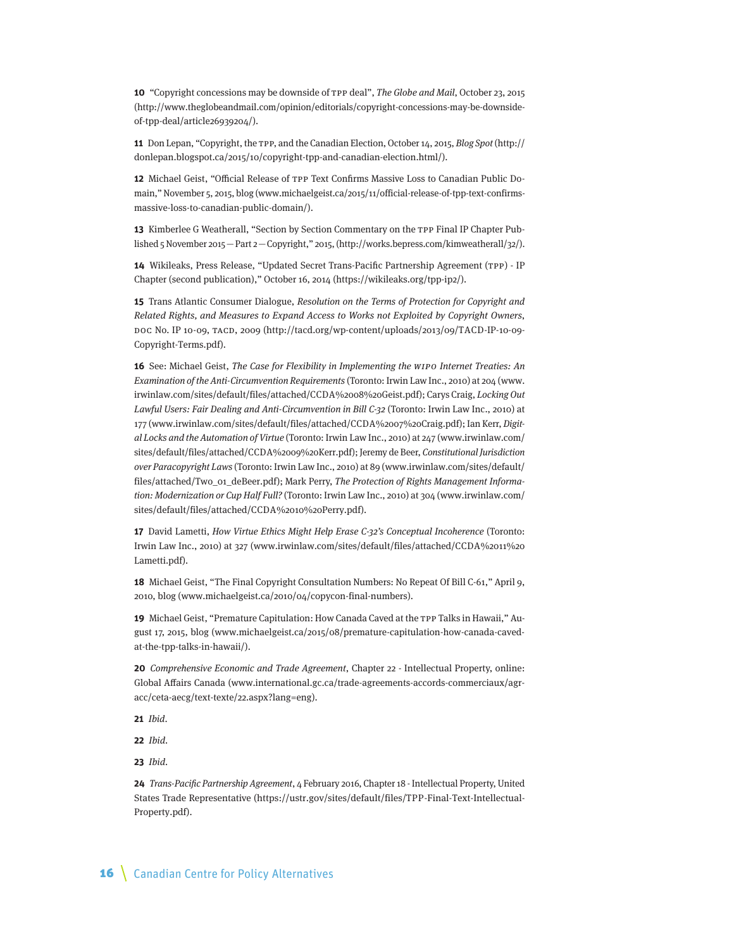**10** "Copyright concessions may be downside of TPP deal", The Globe and Mail, October 23, 2015 ([http://www.theglobeandmail.com/opinion/editorials/copyright-concessions-may-be-downside](http://www.theglobeandmail.com/opinion/editorials/copyright-concessions-may-be-downside-of-tpp-deal/article26939204/)[of-tpp-deal/article26939204/\)](http://www.theglobeandmail.com/opinion/editorials/copyright-concessions-may-be-downside-of-tpp-deal/article26939204/).

**11** Don Lepan, "Copyright, the TPP, and the Canadian Election, October 14, 2015, Blog Spot [\(http://](http://donlepan.blogspot.ca/2015/10/copyright-tpp-and-canadian-election.html/) [donlepan.blogspot.ca/2015/10/copyright-tpp-and-canadian-election.html/\)](http://donlepan.blogspot.ca/2015/10/copyright-tpp-and-canadian-election.html/).

**12** Michael Geist, "Official Release of TPP Text Confirms Massive Loss to Canadian Public Domain," November 5, 2015, blog ([www.michaelgeist.ca/2015/11/official-release-of-tpp-text-confirms](http://www.michaelgeist.ca/2015/11/official-release-of-tpp-text-confirms-massive-loss-to-canadian-public-domain/)[massive-loss-to-canadian-public-domain/](http://www.michaelgeist.ca/2015/11/official-release-of-tpp-text-confirms-massive-loss-to-canadian-public-domain/)).

**13** Kimberlee G Weatherall, "Section by Section Commentary on the TPP Final IP Chapter Published 5 November 2015—Part 2—Copyright," 2015, [\(http://works.bepress.com/kimweatherall/32/](http://works.bepress.com/kimweatherall/32/)).

**14** Wikileaks, Press Release, "Updated Secret Trans-Pacific Partnership Agreement (TPP) - IP Chapter (second publication)," October 16, 2014 (<https://wikileaks.org/tpp-ip2/>).

**15** Trans Atlantic Consumer Dialogue, Resolution on the Terms of Protection for Copyright and Related Rights, and Measures to Expand Access to Works not Exploited by Copyright Owners, DOC No. IP 10-09, TACD, 2009 [\(http://tacd.org/wp-content/uploads/2013/09/TACD-IP-10-09-](http://tacd.org/wp-content/uploads/2013/09/TACD-IP-10-09-Copyright-Terms.pdf) [Copyright-Terms.pdf\)](http://tacd.org/wp-content/uploads/2013/09/TACD-IP-10-09-Copyright-Terms.pdf).

**16** See: Michael Geist, The Case for Flexibility in Implementing the WIPO Internet Treaties: An Examination of the Anti-Circumvention Requirements (Toronto: Irwin Law Inc., 2010) at 204 [\(www.](http://www.irwinlaw.com/sites/default/files/attached/CCDA%2008%20Geist.pdf) [irwinlaw.com/sites/default/files/attached/CCDA%2008%20Geist.pdf\)](http://www.irwinlaw.com/sites/default/files/attached/CCDA%2008%20Geist.pdf); Carys Craig, Locking Out Lawful Users: Fair Dealing and Anti-Circumvention in Bill C-32 (Toronto: Irwin Law Inc., 2010) at 177 ([www.irwinlaw.com/sites/default/files/attached/CCDA%2007%20Craig.pdf](http://www.irwinlaw.com/sites/default/files/attached/CCDA%2007%20Craig.pdf)); Ian Kerr, Digital Locks and the Automation of Virtue (Toronto: Irwin Law Inc., 2010) at 247 (www.irwinlaw.com/ sites/default/files/attached/CCDA%2009%20Kerr.pdf); Jeremy de Beer, Constitutional Jurisdiction over Paracopyright Laws (Toronto: Irwin Law Inc., 2010) at 89 [\(www.irwinlaw.com/sites/default/](http://www.irwinlaw.com/sites/default/files/attached/Two_01_deBeer.pdf) [files/attached/Two\\_01\\_deBeer.pdf\)](http://www.irwinlaw.com/sites/default/files/attached/Two_01_deBeer.pdf); Mark Perry, The Protection of Rights Management Information: Modernization or Cup Half Full? (Toronto: Irwin Law Inc., 2010) at 304 [\(www.irwinlaw.com/](http://www.irwinlaw.com/sites/default/files/attached/CCDA%2010%20Perry.pdf) [sites/default/files/attached/CCDA%2010%20Perry.pdf\)](http://www.irwinlaw.com/sites/default/files/attached/CCDA%2010%20Perry.pdf).

**17** David Lametti, How Virtue Ethics Might Help Erase C-32's Conceptual Incoherence (Toronto: Irwin Law Inc., 2010) at 327 ([www.irwinlaw.com/sites/default/files/attached/CCDA%2011%20](http://www.irwinlaw.com/sites/default/files/attached/CCDA%2011%20Lametti.pdf) [Lametti.pdf](http://www.irwinlaw.com/sites/default/files/attached/CCDA%2011%20Lametti.pdf)).

**18** Michael Geist, "The Final Copyright Consultation Numbers: No Repeat Of Bill C-61," April 9, 2010, blog [\(www.michaelgeist.ca/2010/04/copycon-final-numbers](http://www.michaelgeist.ca/2010/04/copycon-final-numbers)).

**19** Michael Geist, "Premature Capitulation: How Canada Caved at the TPP Talks in Hawaii," August 17, 2015, blog [\(www.michaelgeist.ca/2015/08/premature-capitulation-how-canada-caved](http://www.michaelgeist.ca/2015/08/premature-capitulation-how-canada-caved-at-the-tpp-talks-in-hawaii/)[at-the-tpp-talks-in-hawaii/](http://www.michaelgeist.ca/2015/08/premature-capitulation-how-canada-caved-at-the-tpp-talks-in-hawaii/)).

**20** Comprehensive Economic and Trade Agreement, Chapter 22 - Intellectual Property, online: Global Affairs Canada [\(www.international.gc.ca/trade-agreements-accords-commerciaux/agr](http://www.international.gc.ca/trade-agreements-accords-commerciaux/agr-acc/ceta-aecg/text-texte/22.aspx?lang=eng)[acc/ceta-aecg/text-texte/22.aspx?lang=eng](http://www.international.gc.ca/trade-agreements-accords-commerciaux/agr-acc/ceta-aecg/text-texte/22.aspx?lang=eng)).

**21** Ibid.

**22** Ibid.

**23** Ibid.

**24** Trans-Pacific Partnership Agreement, 4 February 2016, Chapter 18 - Intellectual Property, United States Trade Representative [\(https://ustr.gov/sites/default/files/TPP-Final-Text-Intellectual-](https://ustr.gov/sites/default/files/TPP-Final-Text-Intellectual-Property.pdf)[Property.pdf](https://ustr.gov/sites/default/files/TPP-Final-Text-Intellectual-Property.pdf)).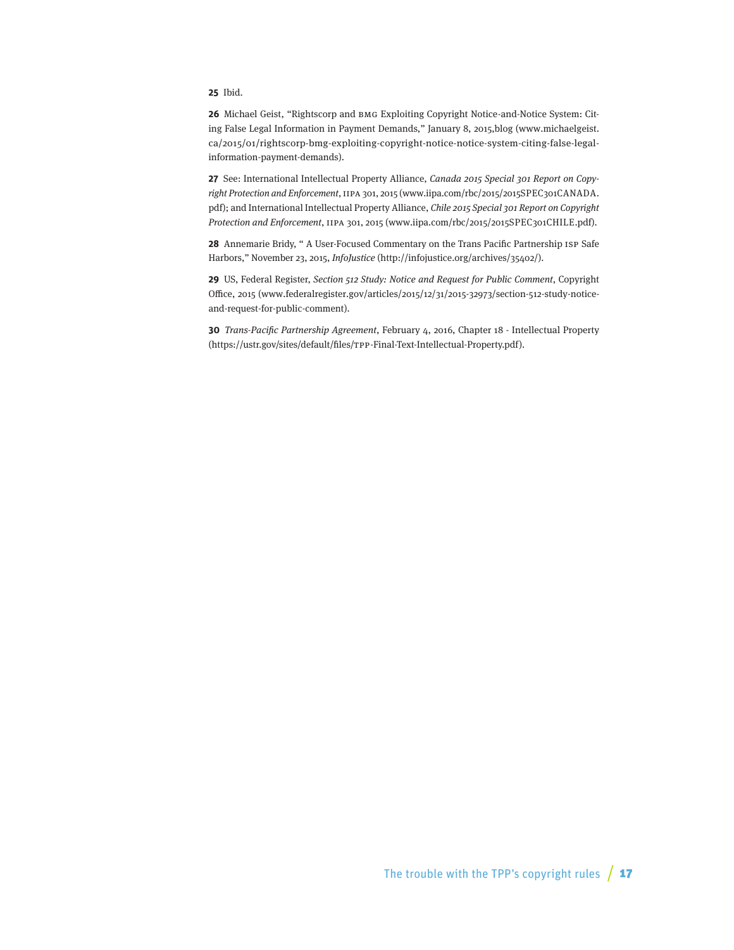#### **25** Ibid.

**26** Michael Geist, "Rightscorp and BMG Exploiting Copyright Notice-and-Notice System: Citing False Legal Information in Payment Demands," January 8, 2015,blog [\(www.michaelgeist.](http://www.michaelgeist.ca/2015/01/rightscorp-bmg-exploiting-copyright-notice-notice-system-citing-false-legal-information-payment-demands) [ca/2015/01/rightscorp-bmg-exploiting-copyright-notice-notice-system-citing-false-legal](http://www.michaelgeist.ca/2015/01/rightscorp-bmg-exploiting-copyright-notice-notice-system-citing-false-legal-information-payment-demands)[information-payment-demands](http://www.michaelgeist.ca/2015/01/rightscorp-bmg-exploiting-copyright-notice-notice-system-citing-false-legal-information-payment-demands)).

**27** See: International Intellectual Property Alliance, Canada 2015 Special 301 Report on Copyright Protection and Enforcement, IIPA 301, 2015 ([www.iipa.com/rbc/2015/2015SPEC301CANADA.](http://www.iipa.com/rbc/2015/2015SPEC301CANADA.pdf) [pdf\)](http://www.iipa.com/rbc/2015/2015SPEC301CANADA.pdf); and International Intellectual Property Alliance, Chile 2015 Special 301 Report on Copyright Protection and Enforcement, IIPA 301, 2015 (www.iipa.com/rbc/2015/2015SPEC301CHILE.pdf).

**28** Annemarie Bridy, " A User-Focused Commentary on the Trans Pacific Partnership ISP Safe Harbors," November 23, 2015, InfoJustice (<http://infojustice.org/archives/35402/>).

**29** US, Federal Register, Section 512 Study: Notice and Request for Public Comment, Copyright Office, 2015 [\(www.federalregister.gov/articles/2015/12/31/2015-32973/section-512-study-notice](http://www.federalregister.gov/articles/2015/12/31/2015-32973/section-512-study-notice-and-request-for-public-comment)[and-request-for-public-comment\)](http://www.federalregister.gov/articles/2015/12/31/2015-32973/section-512-study-notice-and-request-for-public-comment).

**30** Trans-Pacific Partnership Agreement, February 4, 2016, Chapter 18 - Intellectual Property (<https://ustr.gov/sites/default/files/TPP-Final-Text-Intellectual-Property.pdf>).